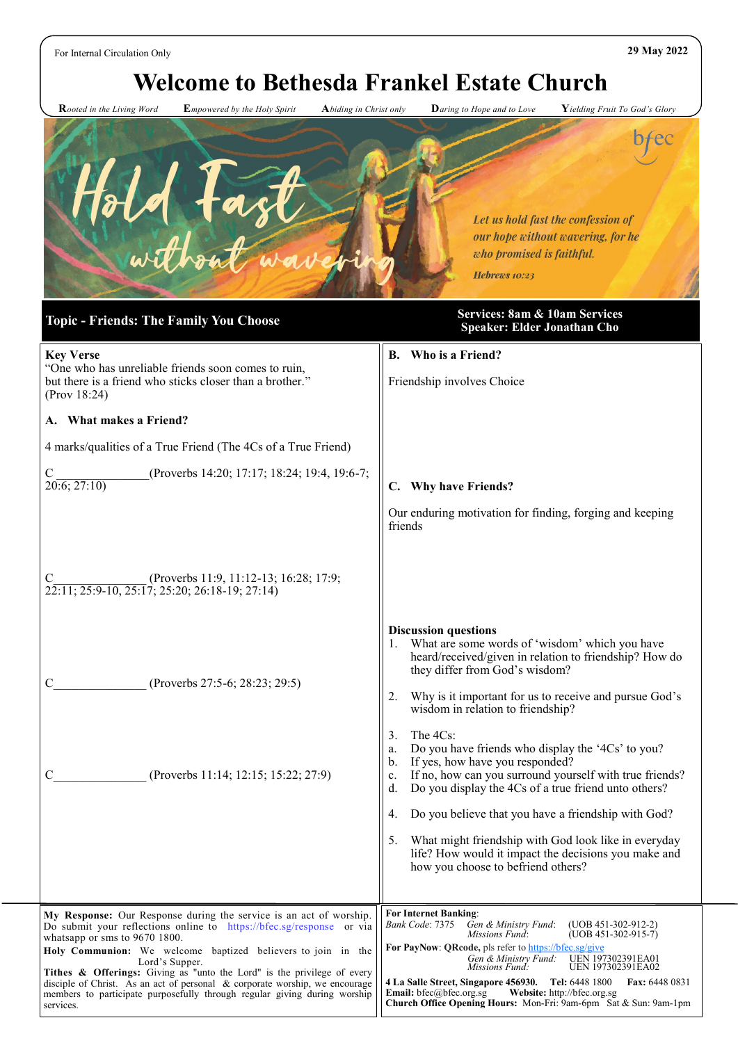For Internal Circulation Only **29 May 2022**

# **Welcome to Bethesda Frankel Estate Church**

 **R***ooted in the Living Word* **E***mpowered by the Holy Spirit* **A***biding in Christ only* **D***aring to Hope and to Love* **Y***ielding Fruit To God's Glory*



#### **My Response:** Our Response during the service is an act of worship. Do submit your reflections online to https://bfec.sg/response or via whatsapp or sms to 9670 1800. **Holy Communion:** We welcome baptized believers to join in the Lord's Supper. **Tithes & Offerings:** Giving as "unto the Lord" is the privilege of every disciple of Christ. As an act of personal & corporate worship, we encourage members to participate purposefully through regular giving during worship services. **For Internet Banking**: *Bank Code*: 7375 *Gen & Ministry Fund*: (UOB 451-302-912-2) *(UOB 451-302-915-7)* For PayNow: QRcode, pls refer to <https://bfec.sg/give>  *Gen & Ministry Fund:* UEN 197302391EA01  *Missions Fund:* UEN 197302391EA02 **4 La Salle Street, Singapore 456930. Tel:** 6448 1800 **Fax:** 6448 0831 **Email:** bfec@bfec.org.sg **Website:** http://bfec.org.sg **Church Office Opening Hours:** Mon-Fri: 9am-6pm Sat & Sun: 9am-1pm **Key Verse** "One who has unreliable friends soon comes to ruin, but there is a friend who sticks closer than a brother.' (Prov 18:24) **A. What makes a Friend?** 4 marks/qualities of a True Friend (The 4Cs of a True Friend) C (Proverbs 14:20; 17:17; 18:24; 19:4, 19:6-7;  $20:6$ ;  $27:10$ ) (Proverbs 11:9, 11:12-13; 16:28; 17:9;  $22:11; 25:9-10, 25:17; 25:20; 26:18-19; 27:14$ C<sub>\_\_\_\_\_\_\_\_\_\_\_\_\_</sub> (Proverbs 27:5-6; 28:23; 29:5) C (Proverbs 11:14; 12:15; 15:22; 27:9) **Speaker: Elder Jonathan Cho B. Who is a Friend?** Friendship involves Choice **C. Why have Friends?** Our enduring motivation for finding, forging and keeping friends **Discussion questions** What are some words of 'wisdom' which you have heard/received/given in relation to friendship? How do they differ from God's wisdom? 2. Why is it important for us to receive and pursue God's wisdom in relation to friendship? 3. The 4Cs: a. Do you have friends who display the '4Cs' to you? b. If yes, how have you responded? c. If no, how can you surround yourself with true friends? d. Do you display the 4Cs of a true friend unto others? 4. Do you believe that you have a friendship with God? 5. What might friendship with God look like in everyday life? How would it impact the decisions you make and how you choose to befriend others?